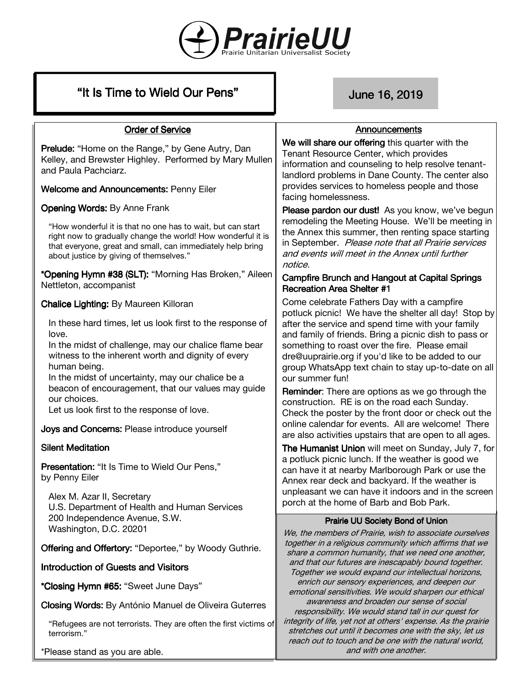

| "It Is Time to Wield Our Pens" |  |  |
|--------------------------------|--|--|
|--------------------------------|--|--|

# June 16, 2019

#### **Order of Service**

**Prelude:** "Home on the Range," by Gene Autry, Dan Kelley, and Brewster Highley. Performed by Mary Mullen and Paula Pachciarz.

Welcome and Announcements: Penny Eiler

Opening Words: By Anne Frank

"How wonderful it is that no one has to wait, but can start right now to gradually change the world! How wonderful it is that everyone, great and small, can immediately help bring about justice by giving of themselves."

\*Opening Hymn #38 (SLT): "Morning Has Broken," Aileen Nettleton, accompanist

Chalice Lighting: By Maureen Killoran

In these hard times, let us look first to the response of love.

In the midst of challenge, may our chalice flame bear witness to the inherent worth and dignity of every human being.

In the midst of uncertainty, may our chalice be a beacon of encouragement, that our values may guide our choices.

Let us look first to the response of love.

Joys and Concerns: Please introduce yourself

# **Silent Meditation**

Presentation: "It Is Time to Wield Our Pens." by Penny Eiler

Alex M. Azar II, Secretary U.S. Department of Health and Human Services 200 Independence Avenue, S.W. Washington, D.C. 20201

Offering and Offertory: "Deportee," by Woody Guthrie.

# Introduction of Guests and Visitors

\*Closing Hymn #65: "Sweet June Days"

Closing Words: By António Manuel de Oliveira Guterres

"Refugees are not terrorists. They are often the first victims of terrorism."

\*Please stand as you are able.

#### Announcements

We will share our offering this quarter with the Tenant Resource Center, which provides information and counseling to help resolve tenantlandlord problems in Dane County. The center also provides services to homeless people and those facing homelessness.

Please pardon our dust! As you know, we've begun remodeling the Meeting House. We'll be meeting in the Annex this summer, then renting space starting in September. Please note that all Prairie services and events will meet in the Annex until further notice.

#### Campfire Brunch and Hangout at Capital Springs Recreation Area Shelter #1

Come celebrate Fathers Day with a campfire potluck picnic! We have the shelter all day! Stop by after the service and spend time with your family and family of friends. Bring a picnic dish to pass or something to roast over the fire. Please email dre@uuprairie.org if you'd like to be added to our group WhatsApp text chain to stay up-to-date on all our summer fun!

Reminder: There are options as we go through the construction. RE is on the road each Sunday. Check the poster by the front door or check out the online calendar for events. All are welcome! There are also activities upstairs that are open to all ages.

The Humanist Union will meet on Sunday, July 7, for a potluck picnic lunch. If the weather is good we can have it at nearby Marlborough Park or use the Annex rear deck and backyard. If the weather is unpleasant we can have it indoors and in the screen porch at the home of Barb and Bob Park.

# Prairie UU Society Bond of Union

We, the members of Prairie, wish to associate ourselves together in a religious community which affirms that we share a common humanity, that we need one another, and that our futures are inescapably bound together. Together we would expand our intellectual horizons, enrich our sensory experiences, and deepen our emotional sensitivities. We would sharpen our ethical awareness and broaden our sense of social responsibility. We would stand tall in our quest for integrity of life, yet not at others' expense. As the prairie stretches out until it becomes one with the sky, let us reach out to touch and be one with the natural world, and with one another.